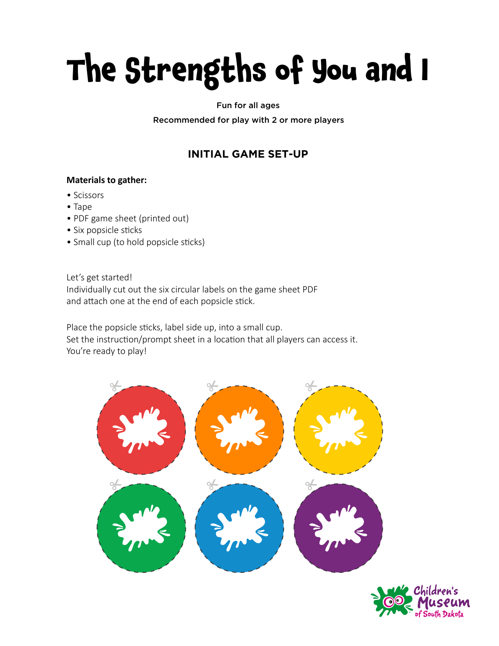## **The Strengths of You and I**

#### Fun for all ages

Recommended for play with 2 or more players

## **INITIAL GAME SET-UP**

### **Materials to gather:**

- Scissors
- Tape
- PDF game sheet (printed out)
- Six popsicle sticks
- Small cup (to hold popsicle sticks)

Let's get started! Individually cut out the six circular labels on the game sheet PDF and attach one at the end of each popsicle stick.

Place the popsicle sticks, label side up, into a small cup. Set the instruction/prompt sheet in a location that all players can access it. You're ready to play!